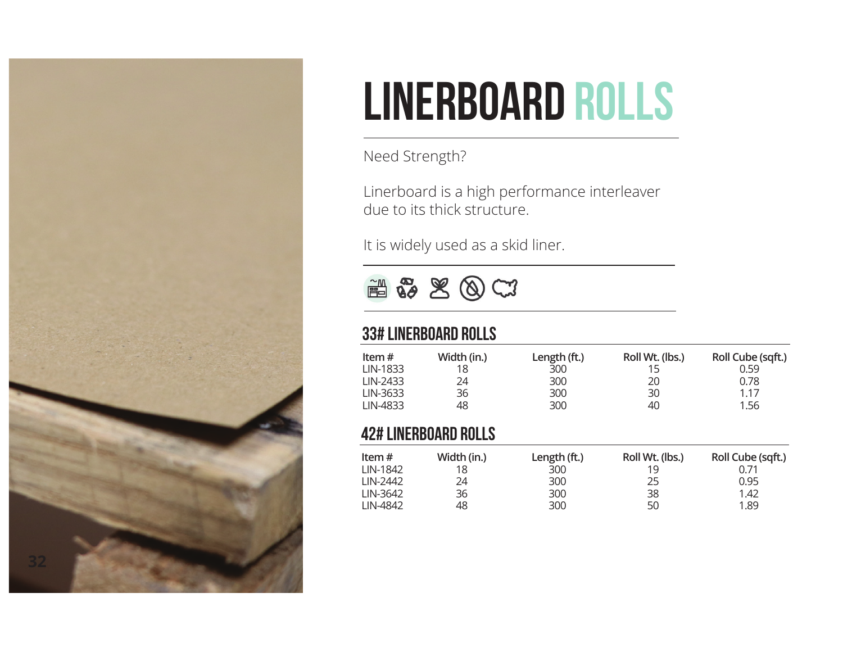

## Linerboard Rolls

Need Strength?

Linerboard is a high performance interleaver due to its thick structure.

It is widely used as a skid liner.

M & SOCI

## 33# Linerboard Rolls

| Item $#$<br>LIN-1833<br>LIN-2433 | Width (in.)<br>18<br>24 | Length (ft.)<br>300<br>300 | Roll Wt. (lbs.)<br>20 | Roll Cube (sqft.)<br>0.59<br>0.78 |
|----------------------------------|-------------------------|----------------------------|-----------------------|-----------------------------------|
| LIN-3633                         | 36                      | 300                        | 30                    | 1.17                              |
| LIN-4833                         | 48                      | 300                        | 40                    | 1.56                              |

#### 42# Linerboard Rolls

| Item $#$ | Width (in.) | Length (ft.) | Roll Wt. (lbs.) | Roll Cube (sqft.) |
|----------|-------------|--------------|-----------------|-------------------|
| LIN-1842 | 18          | 300          | 19              |                   |
| LIN-2442 | 24          | 300          | 25              | 0.95              |
| LIN-3642 | 36          | 300          | 38              | 1.42              |
| LIN-4842 | 48          | 300          | 50              | 1.89              |